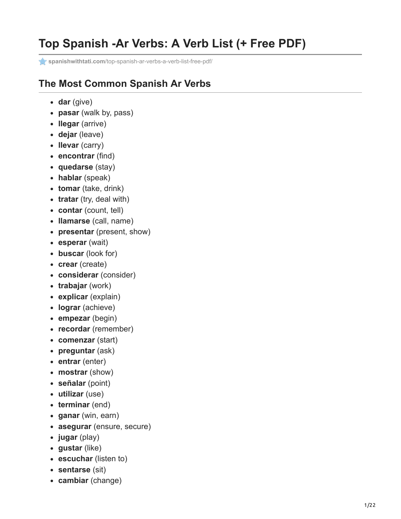## **Top Spanish -Ar Verbs: A Verb List (+ Free PDF)**

**spanishwithtati.com**[/top-spanish-ar-verbs-a-verb-list-free-pdf/](https://spanishwithtati.com/top-spanish-ar-verbs-a-verb-list-free-pdf/)

## **The Most Common Spanish Ar Verbs**

- **dar** (give)
- **pasar** (walk by, pass)
- **llegar** (arrive)
- **dejar** (leave)
- **llevar** (carry)
- **encontrar** (find)
- **quedarse** (stay)
- **hablar** (speak)
- **tomar** (take, drink)
- **tratar** (try, deal with)
- **contar** (count, tell)
- **llamarse** (call, name)
- **presentar** (present, show)
- **esperar** (wait)
- **buscar** (look for)
- **crear** (create)
- **considerar** (consider)
- **trabajar** (work)
- **explicar** (explain)
- **lograr** (achieve)
- **empezar** (begin)
- **recordar** (remember)
- **comenzar** (start)
- **preguntar** (ask)
- **entrar** (enter)
- **mostrar** (show)
- **señalar** (point)
- **utilizar** (use)
- **terminar** (end)
- **ganar** (win, earn)
- **asegurar** (ensure, secure)
- **jugar** (play)
- **gustar** (like)
- **escuchar** (listen to)
- **sentarse** (sit)
- **cambiar** (change)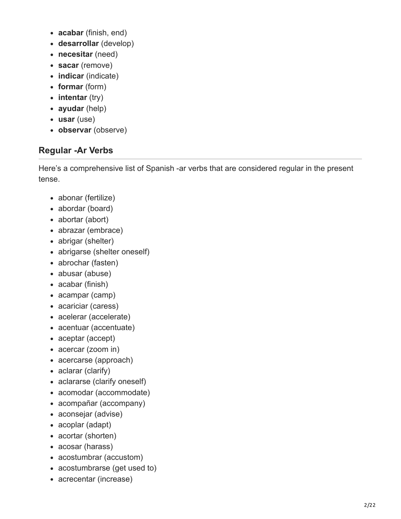- **acabar** (finish, end)
- **desarrollar** (develop)
- **necesitar** (need)
- **sacar** (remove)
- **indicar** (indicate)
- **formar** (form)
- **intentar** (try)
- **ayudar** (help)
- **usar** (use)
- **observar** (observe)

## **Regular -Ar Verbs**

Here's a comprehensive list of Spanish -ar verbs that are considered regular in the present tense.

- abonar (fertilize)
- abordar (board)
- abortar (abort)
- abrazar (embrace)
- abrigar (shelter)
- abrigarse (shelter oneself)
- abrochar (fasten)
- abusar (abuse)
- acabar (finish)
- acampar (camp)
- acariciar (caress)
- acelerar (accelerate)
- acentuar (accentuate)
- aceptar (accept)
- acercar (zoom in)
- acercarse (approach)
- aclarar (clarify)
- aclararse (clarify oneself)
- acomodar (accommodate)
- acompañar (accompany)
- aconsejar (advise)
- acoplar (adapt)
- acortar (shorten)
- acosar (harass)
- acostumbrar (accustom)
- acostumbrarse (get used to)
- acrecentar (increase)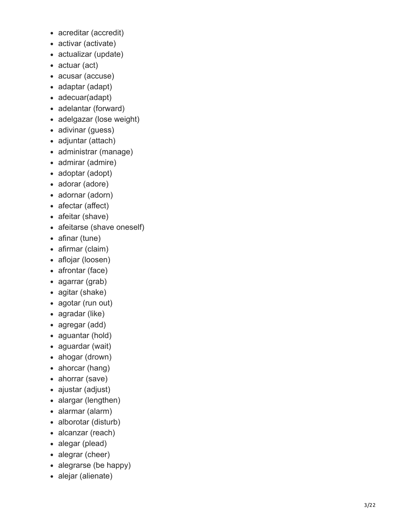- acreditar (accredit)
- activar (activate)
- actualizar (update)
- actuar (act)
- acusar (accuse)
- adaptar (adapt)
- adecuar(adapt)
- adelantar (forward)
- adelgazar (lose weight)
- adivinar (guess)
- adjuntar (attach)
- administrar (manage)
- admirar (admire)
- adoptar (adopt)
- adorar (adore)
- adornar (adorn)
- afectar (affect)
- afeitar (shave)
- afeitarse (shave oneself)
- afinar (tune)
- afirmar (claim)
- aflojar (loosen)
- afrontar (face)
- agarrar (grab)  $\bullet$
- agitar (shake)
- agotar (run out)
- agradar (like)
- agregar (add)
- aguantar (hold)
- aguardar (wait)
- ahogar (drown)
- ahorcar (hang)
- ahorrar (save)
- ajustar (adjust)
- alargar (lengthen)
- alarmar (alarm)
- alborotar (disturb)
- alcanzar (reach)
- alegar (plead)
- alegrar (cheer)
- alegrarse (be happy)
- alejar (alienate)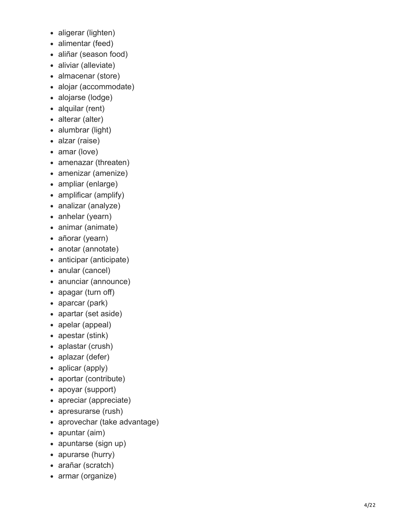- aligerar (lighten)
- alimentar (feed)
- aliñar (season food)
- aliviar (alleviate)
- almacenar (store)
- alojar (accommodate)
- alojarse (lodge)
- alquilar (rent)
- alterar (alter)
- alumbrar (light)
- alzar (raise)
- amar (love)
- amenazar (threaten)
- amenizar (amenize)  $\bullet$
- $\bullet$ ampliar (enlarge)
- amplificar (amplify)
- analizar (analyze)
- anhelar (yearn)
- animar (animate)
- añorar (yearn)
- anotar (annotate)
- anticipar (anticipate)
- anular (cancel)
- anunciar (announce)
- apagar (turn off)
- aparcar (park)
- apartar (set aside)
- apelar (appeal)
- apestar (stink)
- aplastar (crush)
- aplazar (defer)
- aplicar (apply)
- aportar (contribute)  $\bullet$
- apoyar (support)
- apreciar (appreciate)
- apresurarse (rush)
- aprovechar (take advantage)  $\bullet$
- apuntar (aim)
- apuntarse (sign up)
- apurarse (hurry)
- arañar (scratch)
- armar (organize)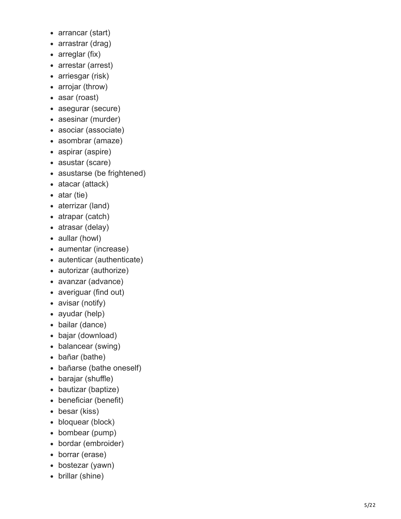- arrancar (start)
- arrastrar (drag)
- arreglar (fix)
- arrestar (arrest)
- arriesgar (risk)
- arrojar (throw)
- asar (roast)
- asegurar (secure)
- asesinar (murder)
- asociar (associate)
- asombrar (amaze)
- aspirar (aspire)
- asustar (scare)
- asustarse (be frightened)
- atacar (attack)
- $\bullet$  atar (tie)
- aterrizar (land)
- atrapar (catch)
- atrasar (delay)
- aullar (howl)
- aumentar (increase)
- autenticar (authenticate)
- autorizar (authorize)
- avanzar (advance)
- averiguar (find out)
- avisar (notify)
- ayudar (help)
- bailar (dance)
- bajar (download)
- balancear (swing)
- bañar (bathe)
- bañarse (bathe oneself)
- barajar (shuffle)
- bautizar (baptize)
- beneficiar (benefit)
- besar (kiss)
- bloquear (block)
- bombear (pump)
- bordar (embroider)
- borrar (erase)
- bostezar (yawn)
- brillar (shine)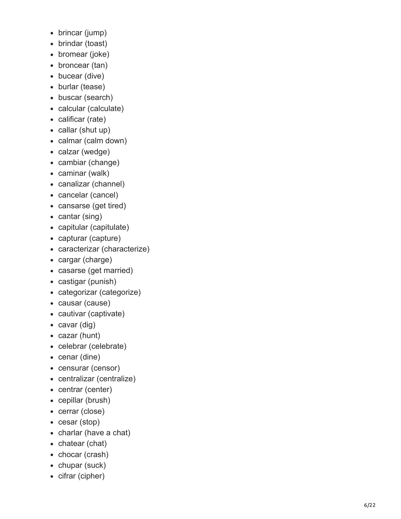- brincar (jump)
- brindar (toast)
- bromear (joke)
- broncear (tan)
- bucear (dive)
- burlar (tease)
- buscar (search)
- calcular (calculate)
- calificar (rate)
- callar (shut up)
- calmar (calm down)
- calzar (wedge)
- cambiar (change)
- caminar (walk)
- canalizar (channel)
- cancelar (cancel)
- cansarse (get tired)
- cantar (sing)
- capitular (capitulate)
- capturar (capture)
- caracterizar (characterize)
- cargar (charge)
- casarse (get married)
- castigar (punish)
- categorizar (categorize)
- causar (cause)
- cautivar (captivate)
- cavar (dig)
- cazar (hunt)
- celebrar (celebrate)
- cenar (dine)
- censurar (censor)
- centralizar (centralize)
- centrar (center)
- cepillar (brush)
- cerrar (close)
- cesar (stop)
- charlar (have a chat)
- chatear (chat)
- chocar (crash)
- chupar (suck)
- cifrar (cipher)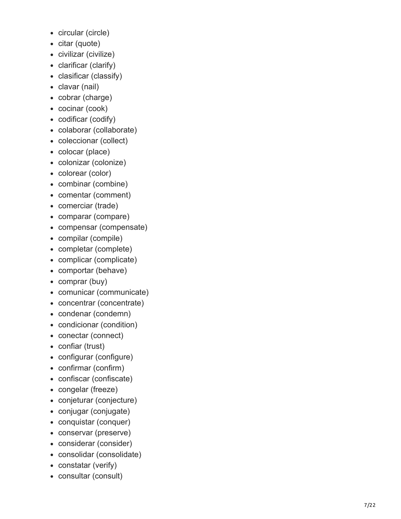- circular (circle)
- citar (quote)
- civilizar (civilize)
- clarificar (clarify)
- clasificar (classify)
- clavar (nail)
- cobrar (charge)
- cocinar (cook)
- codificar (codify)
- colaborar (collaborate)
- coleccionar (collect)
- colocar (place)
- colonizar (colonize)
- colorear (color)
- combinar (combine)
- comentar (comment)
- comerciar (trade)
- comparar (compare)
- compensar (compensate)
- compilar (compile)
- completar (complete)
- complicar (complicate)
- comportar (behave)
- comprar (buy)
- comunicar (communicate)
- concentrar (concentrate)
- condenar (condemn)
- condicionar (condition)
- conectar (connect)
- confiar (trust)
- configurar (configure)
- confirmar (confirm)
- confiscar (confiscate)
- congelar (freeze)
- conjeturar (conjecture)
- conjugar (conjugate)
- conquistar (conquer)
- conservar (preserve)
- considerar (consider)
- consolidar (consolidate)
- constatar (verify)
- consultar (consult)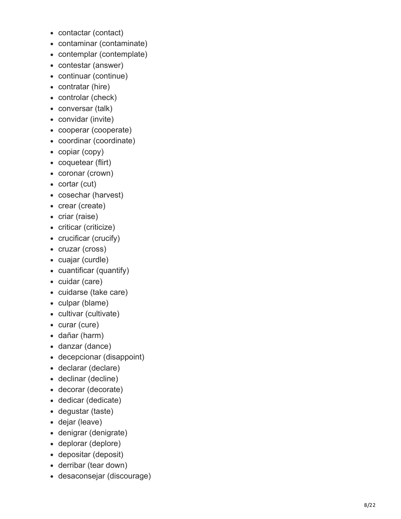- contactar (contact)
- contaminar (contaminate)
- contemplar (contemplate)
- contestar (answer)
- continuar (continue)
- contratar (hire)
- controlar (check)
- conversar (talk)
- convidar (invite)
- cooperar (cooperate)
- coordinar (coordinate)
- copiar (copy)
- coquetear (flirt)
- coronar (crown)
- cortar (cut)
- cosechar (harvest)
- crear (create)
- criar (raise)
- criticar (criticize)
- crucificar (crucify)
- cruzar (cross)
- cuajar (curdle)
- cuantificar (quantify)
- cuidar (care)
- cuidarse (take care)
- culpar (blame)
- cultivar (cultivate)
- curar (cure)
- dañar (harm)
- danzar (dance)
- decepcionar (disappoint)
- declarar (declare)
- declinar (decline)
- decorar (decorate)
- dedicar (dedicate)
- degustar (taste)
- dejar (leave)
- denigrar (denigrate)
- deplorar (deplore)
- depositar (deposit)
- derribar (tear down)
- desaconsejar (discourage)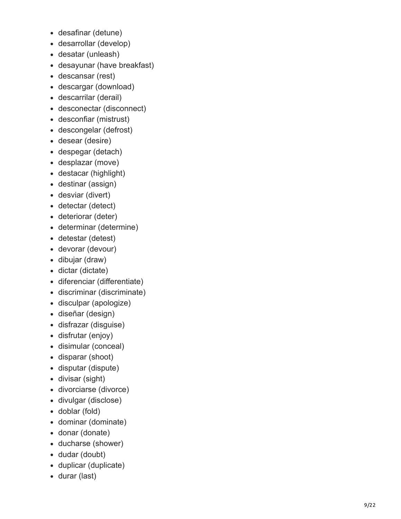- desafinar (detune)
- desarrollar (develop)
- desatar (unleash)
- desayunar (have breakfast)
- descansar (rest)
- descargar (download)
- descarrilar (derail)
- desconectar (disconnect)
- desconfiar (mistrust)
- descongelar (defrost)
- desear (desire)
- despegar (detach)
- desplazar (move)
- destacar (highlight)
- destinar (assign)
- desviar (divert)
- detectar (detect)
- deteriorar (deter)
- determinar (determine)
- detestar (detest)
- devorar (devour)
- dibujar (draw)
- dictar (dictate)
- diferenciar (differentiate)
- discriminar (discriminate)
- disculpar (apologize)
- diseñar (design)
- disfrazar (disguise)
- disfrutar (enjoy)
- disimular (conceal)
- disparar (shoot)
- disputar (dispute)
- divisar (sight)
- divorciarse (divorce)
- divulgar (disclose)
- doblar (fold)
- dominar (dominate)
- donar (donate)
- ducharse (shower)
- dudar (doubt)
- duplicar (duplicate)
- durar (last)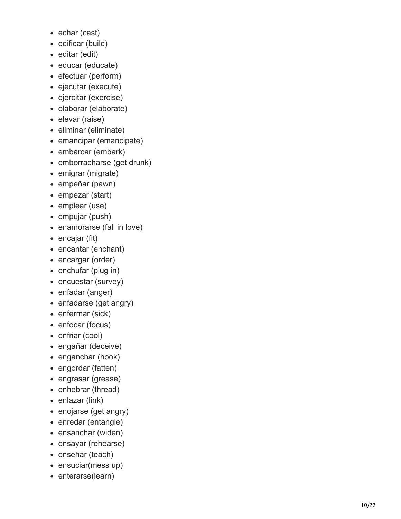- echar (cast)
- edificar (build)
- editar (edit)
- educar (educate)
- efectuar (perform)
- ejecutar (execute)
- ejercitar (exercise)
- elaborar (elaborate)
- elevar (raise)
- eliminar (eliminate)
- emancipar (emancipate)
- embarcar (embark)
- emborracharse (get drunk)
- emigrar (migrate)
- empeñar (pawn)
- empezar (start)
- emplear (use)
- empujar (push)
- enamorarse (fall in love)
- encajar (fit)
- encantar (enchant)
- encargar (order)
- enchufar (plug in)
- encuestar (survey)
- enfadar (anger)
- enfadarse (get angry)
- enfermar (sick)
- enfocar (focus)
- enfriar (cool)
- engañar (deceive)
- enganchar (hook)
- engordar (fatten)
- engrasar (grease)
- enhebrar (thread)
- enlazar (link)
- enojarse (get angry)
- enredar (entangle)
- ensanchar (widen)
- ensayar (rehearse)
- enseñar (teach)
- ensuciar(mess up)
- enterarse(learn)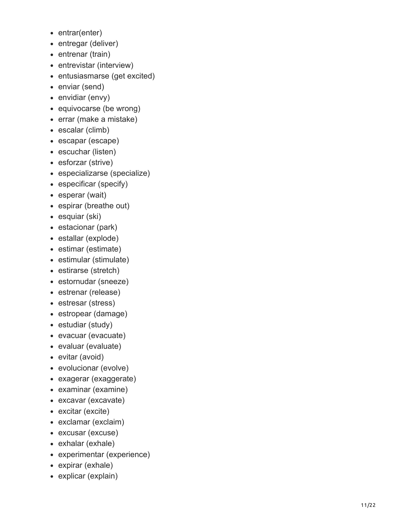- entrar(enter)
- entregar (deliver)
- entrenar (train)
- entrevistar (interview)
- entusiasmarse (get excited)
- enviar (send)
- envidiar (envy)
- equivocarse (be wrong)
- errar (make a mistake)
- escalar (climb)
- escapar (escape)
- escuchar (listen)
- esforzar (strive)
- especializarse (specialize)
- especificar (specify)
- esperar (wait)
- espirar (breathe out)
- esquiar (ski)
- estacionar (park)
- estallar (explode)
- estimar (estimate)
- estimular (stimulate)
- estirarse (stretch)
- estornudar (sneeze)
- estrenar (release)
- estresar (stress)
- estropear (damage)
- estudiar (study)
- evacuar (evacuate)
- evaluar (evaluate)
- evitar (avoid)
- evolucionar (evolve)
- exagerar (exaggerate)
- examinar (examine)
- excavar (excavate)
- excitar (excite)
- exclamar (exclaim)
- excusar (excuse)
- exhalar (exhale)
- experimentar (experience)
- expirar (exhale)
- explicar (explain)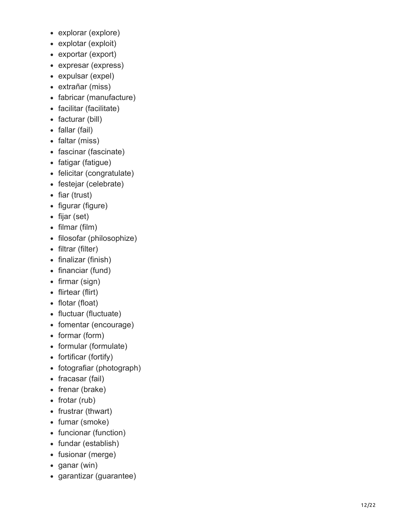- explorar (explore)
- explotar (exploit)
- exportar (export)
- expresar (express)
- expulsar (expel)
- extrañar (miss)
- fabricar (manufacture)
- facilitar (facilitate)
- facturar (bill)
- fallar (fail)
- faltar (miss)
- fascinar (fascinate)
- fatigar (fatigue)
- felicitar (congratulate)
- festejar (celebrate)
- $\bullet$  fiar (trust)
- figurar (figure)
- fijar (set)
- filmar (film)
- filosofar (philosophize)
- filtrar (filter)
- finalizar (finish)
- financiar (fund)
- firmar (sign)
- flirtear (flirt)
- flotar (float)
- fluctuar (fluctuate)
- fomentar (encourage)
- formar (form)
- formular (formulate)
- fortificar (fortify)
- fotografiar (photograph)
- fracasar (fail)
- frenar (brake)
- $\bullet$  frotar (rub)
- frustrar (thwart)
- fumar (smoke)
- funcionar (function)
- fundar (establish)
- fusionar (merge)
- ganar (win)
- garantizar (guarantee)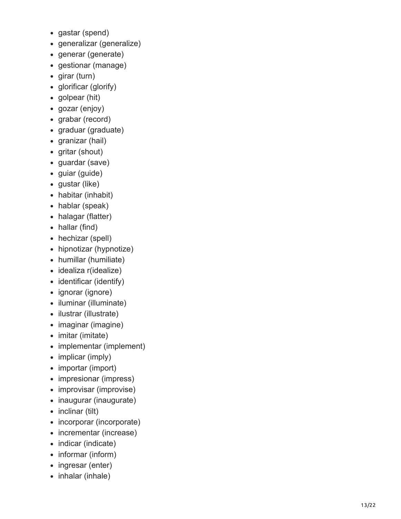- gastar (spend)
- generalizar (generalize)
- generar (generate)
- gestionar (manage)
- girar (turn)
- glorificar (glorify)
- golpear (hit)
- gozar (enjoy)
- grabar (record)
- graduar (graduate)
- granizar (hail)
- gritar (shout)
- guardar (save)
- guiar (guide)
- gustar (like)
- habitar (inhabit)
- hablar (speak)
- halagar (flatter)
- hallar (find)
- hechizar (spell)
- hipnotizar (hypnotize)
- humillar (humiliate)
- idealiza r(idealize)
- identificar (identify)
- ignorar (ignore)
- iluminar (illuminate)
- ilustrar (illustrate)
- imaginar (imagine)
- imitar (imitate)
- implementar (implement)
- implicar (imply)
- importar (import)
- impresionar (impress)
- improvisar (improvise)
- inaugurar (inaugurate)
- inclinar (tilt)
- incorporar (incorporate)
- incrementar (increase)
- indicar (indicate)
- informar (inform)
- ingresar (enter)
- inhalar (inhale)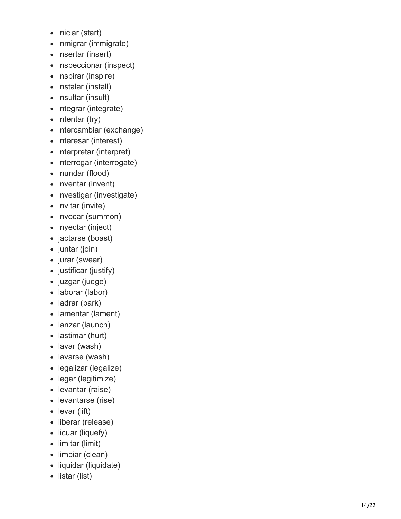- iniciar (start)
- inmigrar (immigrate)
- insertar (insert)
- inspeccionar (inspect)
- inspirar (inspire)
- instalar (install)
- insultar (insult)
- integrar (integrate)
- $\bullet$  intentar (try)
- intercambiar (exchange)
- interesar (interest)
- interpretar (interpret)
- interrogar (interrogate)
- inundar (flood)
- inventar (invent)
- investigar (investigate)
- invitar (invite)
- invocar (summon)
- inyectar (inject)
- jactarse (boast)
- $\bullet$  juntar (join)
- jurar (swear)
- justificar (justify)
- juzgar (judge)
- laborar (labor)
- ladrar (bark)
- lamentar (lament)
- lanzar (launch)
- lastimar (hurt)
- lavar (wash)
- lavarse (wash)
- legalizar (legalize)
- legar (legitimize)
- levantar (raise)
- levantarse (rise)
- levar (lift)
- liberar (release)
- licuar (liquefy)
- limitar (limit)
- limpiar (clean)
- liquidar (liquidate)
- listar (list)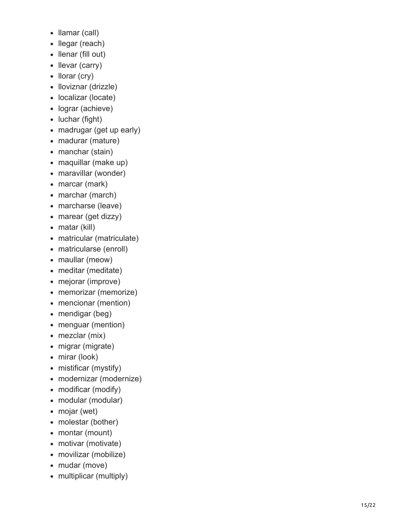- Ilamar (call)
- llegar (reach)
- Ilenar (fill out)
- llevar (carry)
- Ilorar (cry)
- Iloviznar (drizzle)
- localizar (locate)
- lograr (achieve)
- luchar (fight)
- madrugar (get up early)
- madurar (mature)
- manchar (stain)
- maquillar (make up)
- maravillar (wonder)
- marcar (mark)
- marchar (march)
- marcharse (leave)
- marear (get dizzy)
- matar (kill)
- matricular (matriculate)
- matricularse (enroll)
- maullar (meow)
- meditar (meditate)
- mejorar (improve)
- memorizar (memorize)
- mencionar (mention)
- mendigar (beg)
- menguar (mention)
- mezclar (mix)
- migrar (migrate)
- mirar (look)
- mistificar (mystify)
- modernizar (modernize)
- modificar (modify)
- modular (modular)
- mojar (wet)
- molestar (bother)
- montar (mount)
- motivar (motivate)
- movilizar (mobilize)
- mudar (move)
- multiplicar (multiply)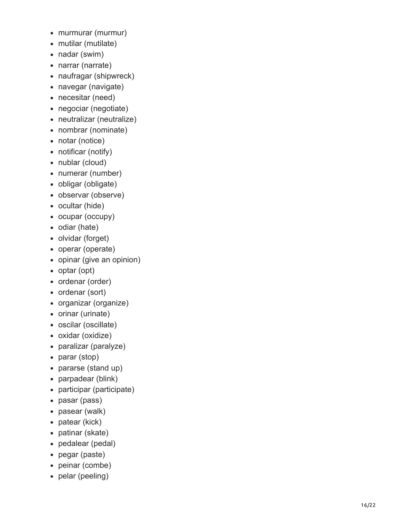- murmurar (murmur)
- mutilar (mutilate)
- nadar (swim)
- narrar (narrate)
- naufragar (shipwreck)
- navegar (navigate)
- necesitar (need)
- negociar (negotiate)
- neutralizar (neutralize)
- nombrar (nominate)
- notar (notice)
- notificar (notify)
- nublar (cloud)
- numerar (number)
- obligar (obligate)
- observar (observe)
- ocultar (hide)
- ocupar (occupy)
- odiar (hate)
- olvidar (forget)
- operar (operate)
- opinar (give an opinion)
- optar (opt)
- ordenar (order)
- ordenar (sort)
- organizar (organize)
- orinar (urinate)
- oscilar (oscillate)
- oxidar (oxidize)
- paralizar (paralyze)
- parar (stop)
- pararse (stand up)
- parpadear (blink)
- participar (participate)
- pasar (pass)
- pasear (walk)
- patear (kick)
- patinar (skate)
- pedalear (pedal)
- pegar (paste)
- peinar (combe)
- pelar (peeling)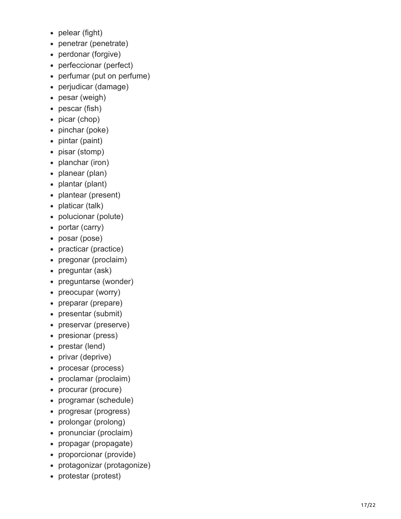- pelear (fight)
- penetrar (penetrate)
- perdonar (forgive)
- perfeccionar (perfect)
- perfumar (put on perfume)  $\bullet$
- perjudicar (damage)  $\bullet$
- pesar (weigh)
- pescar (fish)  $\bullet$
- picar (chop)
- pinchar (poke)  $\bullet$
- pintar (paint)
- pisar (stomp)  $\bullet$
- planchar (iron)
- planear (plan)  $\bullet$
- plantar (plant)  $\bullet$
- plantear (present)
- platicar (talk)  $\bullet$
- polucionar (polute)
- portar (carry)  $\bullet$
- posar (pose)
- practicar (practice)
- pregonar (proclaim)
- preguntar (ask)
- preguntarse (wonder)  $\bullet$
- preocupar (worry)
- preparar (prepare)  $\bullet$
- presentar (submit)
- preservar (preserve)  $\bullet$
- presionar (press)
- prestar (lend)
- privar (deprive)
- procesar (process)
- proclamar (proclaim)  $\bullet$
- procurar (procure)
- programar (schedule)  $\bullet$
- progresar (progress)
- prolongar (prolong)  $\bullet$
- pronunciar (proclaim)  $\bullet$
- propagar (propagate)
- proporcionar (provide)  $\bullet$
- protagonizar (protagonize)
- protestar (protest)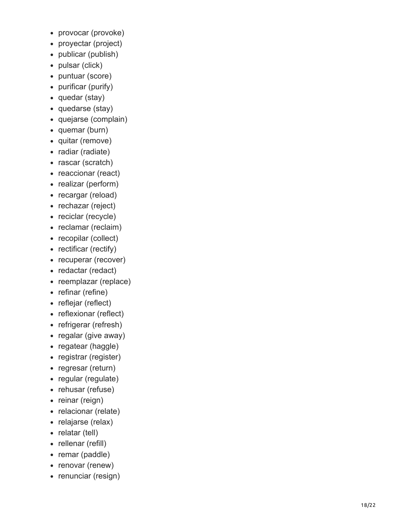- provocar (provoke)
- proyectar (project)
- publicar (publish)
- pulsar (click)
- puntuar (score)  $\bullet$
- purificar (purify)
- quedar (stay)
- quedarse (stay)
- quejarse (complain)
- quemar (burn)
- quitar (remove)
- radiar (radiate)
- rascar (scratch)
- reaccionar (react)
- realizar (perform)
- recargar (reload)
- rechazar (reject)
- reciclar (recycle)
- reclamar (reclaim)
- recopilar (collect)
- rectificar (rectify)
- recuperar (recover)
- redactar (redact)
- reemplazar (replace)
- refinar (refine)
- reflejar (reflect)
- reflexionar (reflect)
- refrigerar (refresh)
- regalar (give away)
- regatear (haggle)
- registrar (register)
- regresar (return)
- regular (regulate)
- rehusar (refuse)
- reinar (reign)
- relacionar (relate)
- relajarse (relax)
- relatar (tell)
- rellenar (refill)
- remar (paddle)
- renovar (renew)
- renunciar (resign)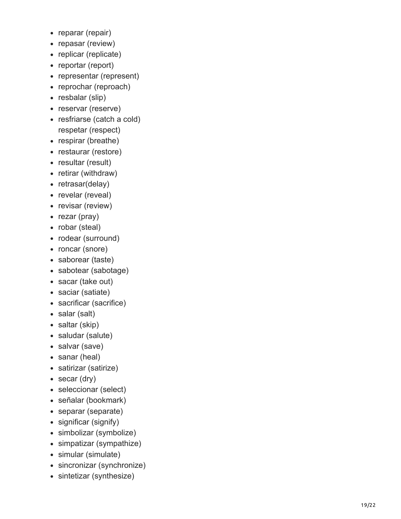- reparar (repair)
- repasar (review)
- replicar (replicate)
- reportar (report)
- representar (represent)
- reprochar (reproach)
- resbalar (slip)
- reservar (reserve)
- resfriarse (catch a cold) respetar (respect)
- respirar (breathe)
- restaurar (restore)
- resultar (result)
- retirar (withdraw)
- retrasar(delay)
- revelar (reveal)
- revisar (review)
- rezar (pray)
- robar (steal)
- rodear (surround)
- roncar (snore)
- saborear (taste)
- sabotear (sabotage)
- sacar (take out)
- saciar (satiate)
- sacrificar (sacrifice)
- salar (salt)
- saltar (skip)
- saludar (salute)
- salvar (save)
- sanar (heal)
- satirizar (satirize)
- secar (dry)
- seleccionar (select)
- señalar (bookmark)
- separar (separate)
- significar (signify)
- simbolizar (symbolize)
- simpatizar (sympathize)
- simular (simulate)
- sincronizar (synchronize)
- sintetizar (synthesize)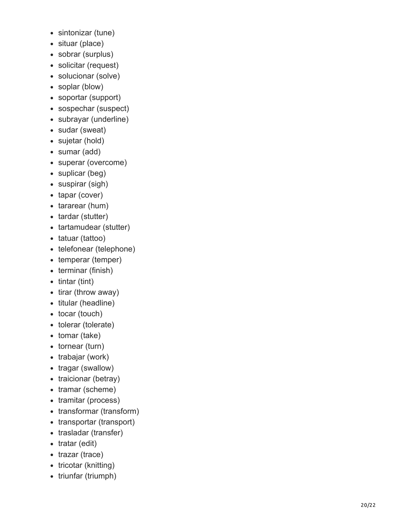- sintonizar (tune)
- situar (place)
- sobrar (surplus)
- solicitar (request)
- solucionar (solve)
- soplar (blow)
- soportar (support)
- sospechar (suspect)
- subrayar (underline)
- sudar (sweat)
- sujetar (hold)
- sumar (add)
- superar (overcome)
- suplicar (beg)
- suspirar (sigh)
- tapar (cover)
- tararear (hum)
- tardar (stutter)
- tartamudear (stutter)
- tatuar (tattoo)
- telefonear (telephone)
- temperar (temper)
- terminar (finish)
- $\bullet$  tintar (tint)
- tirar (throw away)
- titular (headline)
- tocar (touch)
- tolerar (tolerate)
- tomar (take)
- tornear (turn)
- trabajar (work)
- tragar (swallow)
- traicionar (betray)
- tramar (scheme)
- tramitar (process)
- transformar (transform)
- transportar (transport)
- trasladar (transfer)
- $\bullet$  tratar (edit)
- trazar (trace)
- tricotar (knitting)
- triunfar (triumph)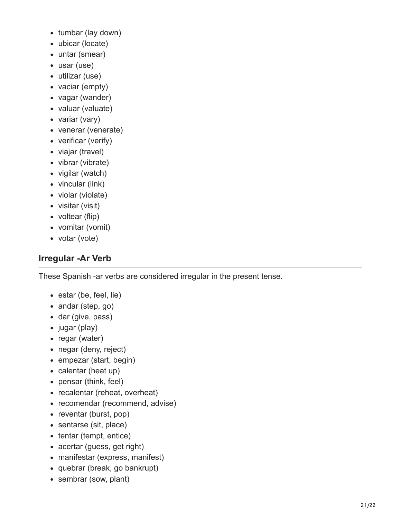- tumbar (lay down)
- ubicar (locate)
- untar (smear)
- usar (use)
- utilizar (use)
- vaciar (empty)
- vagar (wander)
- valuar (valuate)
- variar (vary)
- venerar (venerate)
- verificar (verify)
- viajar (travel)
- vibrar (vibrate)
- vigilar (watch)
- vincular (link)
- violar (violate)
- visitar (visit)
- voltear (flip)
- vomitar (vomit)
- votar (vote)

## **Irregular -Ar Verb**

These Spanish -ar verbs are considered irregular in the present tense.

- estar (be, feel, lie)
- andar (step, go)
- dar (give, pass)
- jugar (play)
- regar (water)
- negar (deny, reject)
- empezar (start, begin)
- calentar (heat up)
- pensar (think, feel)
- recalentar (reheat, overheat)
- recomendar (recommend, advise)
- reventar (burst, pop)
- sentarse (sit, place)
- tentar (tempt, entice)
- acertar (guess, get right)
- manifestar (express, manifest)
- quebrar (break, go bankrupt)
- sembrar (sow, plant)